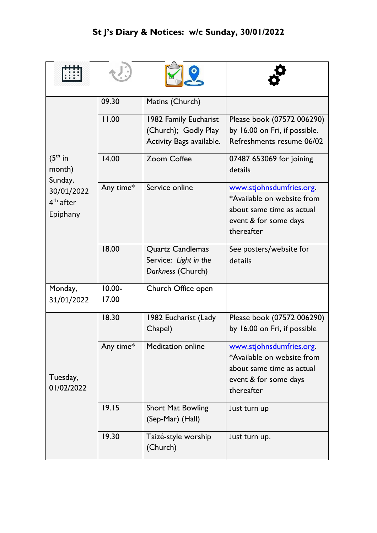| $(5th$ in<br>month)<br>Sunday,<br>30/01/2022<br>$4th$ after<br>Epiphany | 09.30              | Matins (Church)                                                           |                                                                                                                            |
|-------------------------------------------------------------------------|--------------------|---------------------------------------------------------------------------|----------------------------------------------------------------------------------------------------------------------------|
|                                                                         | 11.00              | 1982 Family Eucharist<br>(Church); Godly Play<br>Activity Bags available. | Please book (07572 006290)<br>by 16.00 on Fri, if possible.<br>Refreshments resume 06/02                                   |
|                                                                         | 14.00              | <b>Zoom Coffee</b>                                                        | 07487 653069 for joining<br>details                                                                                        |
|                                                                         | Any time*          | Service online                                                            | www.stjohnsdumfries.org.<br>*Available on website from<br>about same time as actual<br>event & for some days<br>thereafter |
|                                                                         | 18.00              | <b>Quartz Candlemas</b><br>Service: Light in the<br>Darkness (Church)     | See posters/website for<br>details                                                                                         |
| Monday,<br>31/01/2022                                                   | $10.00 -$<br>17.00 | Church Office open                                                        |                                                                                                                            |
| Tuesday,<br>01/02/2022                                                  | 18.30              | 1982 Eucharist (Lady<br>Chapel)                                           | Please book (07572 006290)<br>by 16.00 on Fri, if possible                                                                 |
|                                                                         | Any time*          | <b>Meditation online</b>                                                  | www.stjohnsdumfries.org.<br>*Available on website from<br>about same time as actual<br>event & for some days<br>thereafter |
|                                                                         | 19.15              | <b>Short Mat Bowling</b><br>(Sep-Mar) (Hall)                              | Just turn up                                                                                                               |
|                                                                         | 19.30              | Taizé-style worship<br>(Church)                                           | Just turn up.                                                                                                              |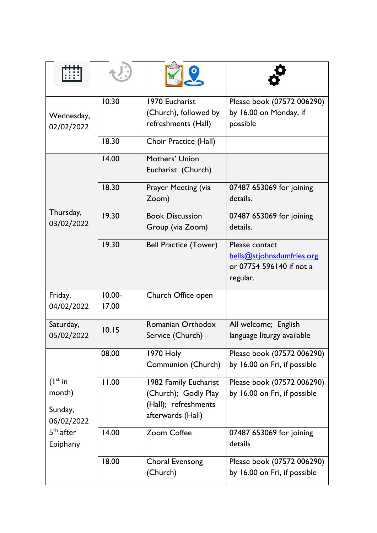|                                   | 10.30              | 1970 Eucharist                                | Please book (07572 006290)                                                          |
|-----------------------------------|--------------------|-----------------------------------------------|-------------------------------------------------------------------------------------|
| Wednesday,<br>02/02/2022          |                    | (Church), followed by<br>refreshments (Hall)  | by 16.00 on Monday, if<br>possible                                                  |
|                                   | 18.30              | Choir Practice (Hall)                         |                                                                                     |
| Thursday,<br>03/02/2022           | 14.00              | Mothers' Union<br>Eucharist (Church)          |                                                                                     |
|                                   | 18.30              | Prayer Meeting (via<br>Zoom)                  | 07487 653069 for joining<br>details.                                                |
|                                   | 19.30              | <b>Book Discussion</b><br>Group (via Zoom)    | 07487 653069 for joining<br>details.                                                |
|                                   | 19.30              | <b>Bell Practice (Tower)</b>                  | Please contact<br>bells@stjohnsdumfries.org<br>or 07754 596140 if not a<br>regular. |
| Friday,<br>04/02/2022             | $10.00 -$<br>17.00 | Church Office open                            |                                                                                     |
| Saturday,<br>05/02/2022           | 10.15              | Romanian Orthodox<br>Service (Church)         | All welcome; English<br>language liturgy available                                  |
|                                   | 08.00              | <b>1970 Holy</b><br>Communion (Church)        | Please book (07572 006290)<br>by 16.00 on Fri, if possible                          |
| $(1^{st}$ in<br>month)            | 11.00              | 1982 Family Eucharist<br>(Church); Godly Play | Please book (07572 006290)<br>by 16.00 on Fri, if possible                          |
| Sunday,<br>06/02/2022             |                    | (Hall); refreshments<br>afterwards (Hall)     |                                                                                     |
| 5 <sup>th</sup> after<br>Epiphany | 14.00              | Zoom Coffee                                   | 07487 653069 for joining<br>details                                                 |
|                                   | 18.00              | Choral Evensong<br>(Church)                   | Please book (07572 006290)<br>by 16.00 on Fri, if possible                          |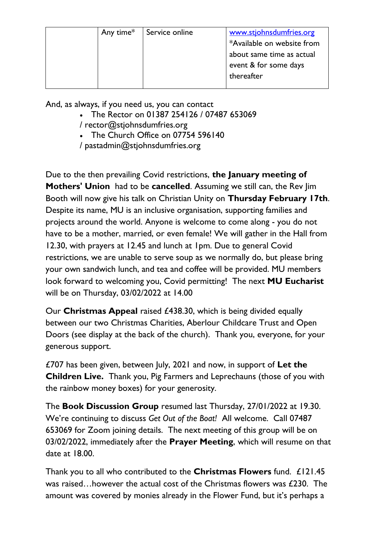| Any time $*$ | Service online | www.stjohnsdumfries.org<br>*Available on website from<br>about same time as actual<br>event & for some days |
|--------------|----------------|-------------------------------------------------------------------------------------------------------------|
|              |                | thereafter                                                                                                  |

And, as always, if you need us, you can contact

- The Rector on 01387 254126 / 07487 653069 / [rector@stjohnsdumfries.org](mailto:rector@stjohnsdumfries.org)
- The Church Office on 07754 596140
- / [pastadmin@stjohnsdumfries.org](mailto:pastadmin@stjohnsdumfries.org)

Due to the then prevailing Covid restrictions, **the January meeting of Mothers' Union** had to be **cancelled**. Assuming we still can, the Rev Jim Booth will now give his talk on Christian Unity on **Thursday February 17th**. Despite its name, MU is an inclusive organisation, supporting families and projects around the world. Anyone is welcome to come along - you do not have to be a mother, married, or even female! We will gather in the Hall from 12.30, with prayers at 12.45 and lunch at 1pm. Due to general Covid restrictions, we are unable to serve soup as we normally do, but please bring your own sandwich lunch, and tea and coffee will be provided. MU members look forward to welcoming you, Covid permitting! The next **MU Eucharist** will be on Thursday, 03/02/2022 at 14.00

Our **Christmas Appeal** raised £438.30, which is being divided equally between our two Christmas Charities, Aberlour Childcare Trust and Open Doors (see display at the back of the church). Thank you, everyone, for your generous support.

£707 has been given, between July, 2021 and now, in support of **Let the Children Live.** Thank you, Pig Farmers and Leprechauns (those of you with the rainbow money boxes) for your generosity.

The **Book Discussion Group** resumed last Thursday, 27/01/2022 at 19.30. We're continuing to discuss *Get Out of the Boat!* All welcome. Call 07487 653069 for Zoom joining details. The next meeting of this group will be on 03/02/2022, immediately after the **Prayer Meeting**, which will resume on that date at 18.00.

Thank you to all who contributed to the **Christmas Flowers** fund. £121.45 was raised…however the actual cost of the Christmas flowers was £230. The amount was covered by monies already in the Flower Fund, but it's perhaps a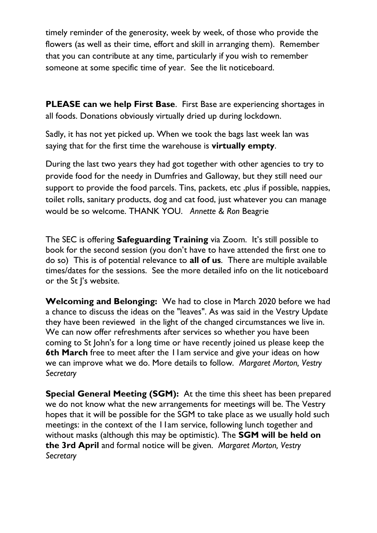timely reminder of the generosity, week by week, of those who provide the flowers (as well as their time, effort and skill in arranging them). Remember that you can contribute at any time, particularly if you wish to remember someone at some specific time of year. See the lit noticeboard.

**PLEASE can we help First Base**. First Base are experiencing shortages in all foods. Donations obviously virtually dried up during lockdown.

Sadly, it has not yet picked up. When we took the bags last week Ian was saying that for the first time the warehouse is **virtually empty**.

During the last two years they had got together with other agencies to try to provide food for the needy in Dumfries and Galloway, but they still need our support to provide the food parcels. Tins, packets, etc ,plus if possible, nappies, toilet rolls, sanitary products, dog and cat food, just whatever you can manage would be so welcome. THANK YOU. *Annette & Ron* Beagrie

The SEC is offering **Safeguarding Training** via Zoom. It's still possible to book for the second session (you don't have to have attended the first one to do so) This is of potential relevance to **all of us**. There are multiple available times/dates for the sessions. See the more detailed info on the lit noticeboard or the St J's website.

**Welcoming and Belonging:** We had to close in March 2020 before we had a chance to discuss the ideas on the "leaves". As was said in the Vestry Update they have been reviewed in the light of the changed circumstances we live in. We can now offer refreshments after services so whether you have been coming to St John's for a long time or have recently joined us please keep the **6th March** free to meet after the 11am service and give your ideas on how we can improve what we do. More details to follow. *Margaret Morton, Vestry Secretary*

**Special General Meeting (SGM):** At the time this sheet has been prepared we do not know what the new arrangements for meetings will be. The Vestry hopes that it will be possible for the SGM to take place as we usually hold such meetings: in the context of the 11am service, following lunch together and without masks (although this may be optimistic). The **SGM will be held on the 3rd April** and formal notice will be given. *Margaret Morton, Vestry Secretary*